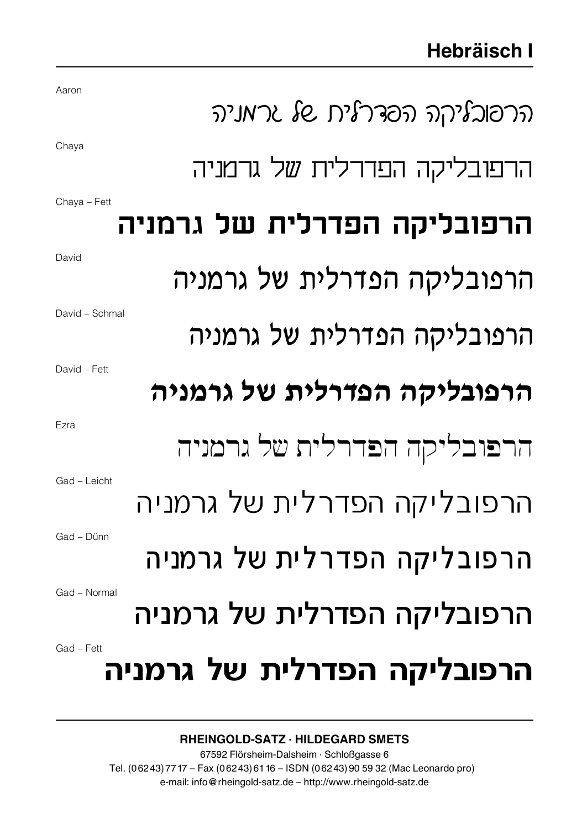| Aaron                       | ภ'มา โย ภ'โาวอก กา'โวเอาภ   |  |
|-----------------------------|-----------------------------|--|
| Chaya                       |                             |  |
|                             | הרפובליקה הפדרלית של גרמניה |  |
| Chaya - Fett                | הרפובליקה הפדרלית של גרמניה |  |
|                             |                             |  |
| David                       | הרפובליקה הפדרלית של גרמניה |  |
| David - Schmal              |                             |  |
|                             | הרפובליקה הפדרלית של גרמניה |  |
| David - Fett                |                             |  |
|                             | הרפובליקה הפדרלית של גרמניה |  |
| Ezra                        |                             |  |
|                             | הרפובליקה הפדרלית של גרמניה |  |
| Gad - Leicht                |                             |  |
|                             | הרפובליקה הפדרלית של גרמניה |  |
| Gad - Dünn                  | הרפובליקה הפדרלית של גרמניה |  |
|                             |                             |  |
| Gad - Normal                | הרפובליקה הפדרלית של גרמניה |  |
| Gad - Fett                  |                             |  |
| הרפובליקה הפדרלית של גרמניה |                             |  |

## RHEINGOLD-SATZ · HILDEGARD SMETS

67592 Flörsheim-Dalsheim · Schloßgasse 6 Tel. (06243)7717 – Fax (06243)6116 – ISDN (06243)90 59 32 (Mac Leonardo pro) e-mail: info @ rheingold-satz.de – http://www.rheingold-satz.de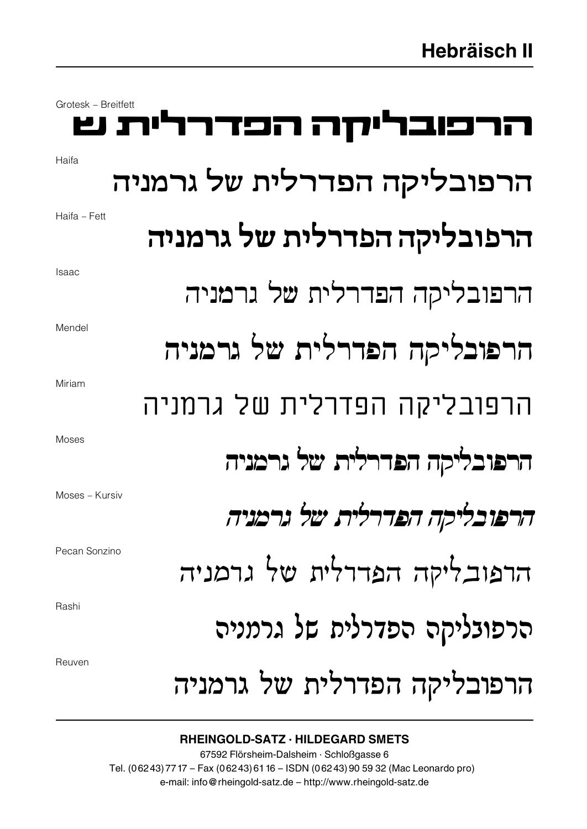| Grotesk - Breitfett | הרכובריקה הכדרלית ש         |
|---------------------|-----------------------------|
| Haifa               | הרפובליקה הפדרלית של גרמניה |
| Haifa - Fett        | הרפובליקה הפדרלית של גרמניה |
| <b>Isaac</b>        | הרפובליקה הפדרלית של גרמניה |
| Mendel              | הרפובליקה הפדרלית של גרמניה |
| Miriam              | הרפובליקה הפדרלית של גרמניה |
| Moses               | הרפובליקה הפדרלית של גרמניה |
| Moses - Kursiv      | הרפובליקה הפדרלית של גרמניה |
| Pecan Sonzino       | הרפובליקה הפדרלית של גרמניה |
| Rashi               | הרפובליקה הפדרלית של גרמניה |
| Reuven              | הרפובליקה הפדרלית של גרמניה |

## RHEINGOLD-SATZ · HILDEGARD SMETS

67592 Flörsheim-Dalsheim · Schloßgasse 6 Tel. (06243)7717 – Fax (06243)6116 – ISDN (06243)90 59 32 (Mac Leonardo pro) e-mail: info @ rheingold-satz.de – http://www.rheingold-satz.de